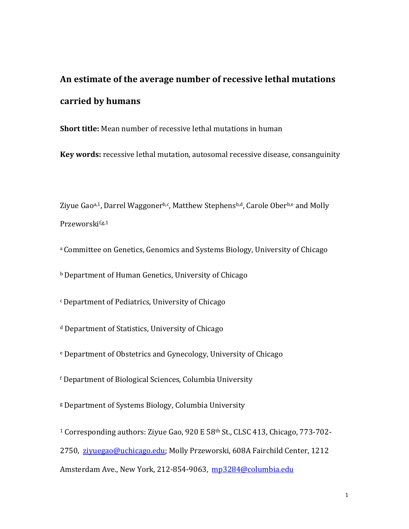An estimate of the average number of recessive lethal mutations **carried by humans**

**Short title:** Mean number of recessive lethal mutations in human

**Key words:** recessive lethal mutation, autosomal recessive disease, consanguinity

Ziyue Gao<sup>a,1</sup>, Darrel Waggoner<sup>b,c</sup>, Matthew Stephens<sup>b,d</sup>, Carole Ober<sup>b,e</sup> and Molly Przeworskif,g,1

<sup>a</sup> Committee on Genetics, Genomics and Systems Biology, University of Chicago

**b** Department of Human Genetics, University of Chicago

 $c$  Department of Pediatrics, University of Chicago

<sup>d</sup> Department of Statistics, University of Chicago

<sup>e</sup> Department of Obstetrics and Gynecology, University of Chicago

<sup>f</sup> Department of Biological Sciences, Columbia University

<sup>g</sup> Department of Systems Biology, Columbia University

<sup>1</sup> Corresponding authors: Ziyue Gao, 920 E 58<sup>th</sup> St., CLSC 413, Chicago, 773-702-

2750, zivuegao@uchicago.edu; Molly Przeworski, 608A Fairchild Center, 1212

Amsterdam Ave., New York, 212-854-9063, mp3284@columbia.edu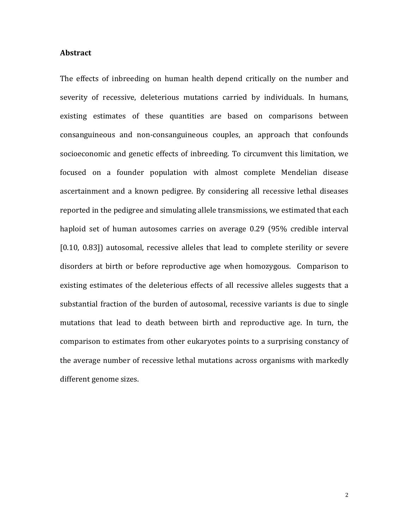### **Abstract**

The effects of inbreeding on human health depend critically on the number and severity of recessive, deleterious mutations carried by individuals. In humans, existing estimates of these quantities are based on comparisons between consanguineous and non-consanguineous couples, an approach that confounds socioeconomic and genetic effects of inbreeding. To circumvent this limitation, we focused on a founder population with almost complete Mendelian disease ascertainment and a known pedigree. By considering all recessive lethal diseases reported in the pedigree and simulating allele transmissions, we estimated that each haploid set of human autosomes carries on average 0.29 (95% credible interval [0.10, 0.83]) autosomal, recessive alleles that lead to complete sterility or severe disorders at birth or before reproductive age when homozygous. Comparison to existing estimates of the deleterious effects of all recessive alleles suggests that a substantial fraction of the burden of autosomal, recessive variants is due to single mutations that lead to death between birth and reproductive age. In turn, the comparison to estimates from other eukaryotes points to a surprising constancy of the average number of recessive lethal mutations across organisms with markedly different genome sizes.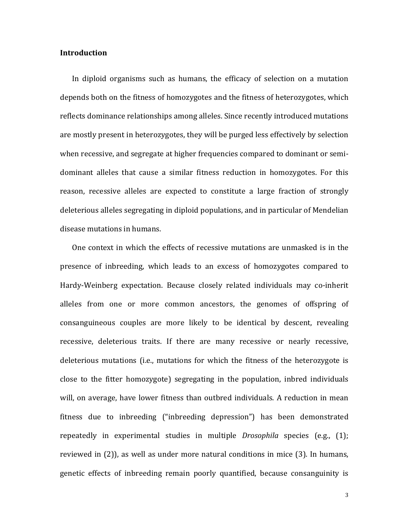# **Introduction**

In diploid organisms such as humans, the efficacy of selection on a mutation depends both on the fitness of homozygotes and the fitness of heterozygotes, which reflects dominance relationships among alleles. Since recently introduced mutations are mostly present in heterozygotes, they will be purged less effectively by selection when recessive, and segregate at higher frequencies compared to dominant or semidominant alleles that cause a similar fitness reduction in homozygotes. For this reason, recessive alleles are expected to constitute a large fraction of strongly deleterious alleles segregating in diploid populations, and in particular of Mendelian disease mutations in humans.

One context in which the effects of recessive mutations are unmasked is in the presence of inbreeding, which leads to an excess of homozygotes compared to Hardy-Weinberg expectation. Because closely related individuals may co-inherit alleles from one or more common ancestors, the genomes of offspring of consanguineous couples are more likely to be identical by descent, revealing recessive, deleterious traits. If there are many recessive or nearly recessive, deleterious mutations (i.e., mutations for which the fitness of the heterozygote is close to the fitter homozygote) segregating in the population, inbred individuals will, on average, have lower fitness than outbred individuals. A reduction in mean fitness due to inbreeding ("inbreeding depression") has been demonstrated repeatedly in experimental studies in multiple *Drosophila* species (e.g., (1); reviewed in  $(2)$ ), as well as under more natural conditions in mice  $(3)$ . In humans, genetic effects of inbreeding remain poorly quantified, because consanguinity is

3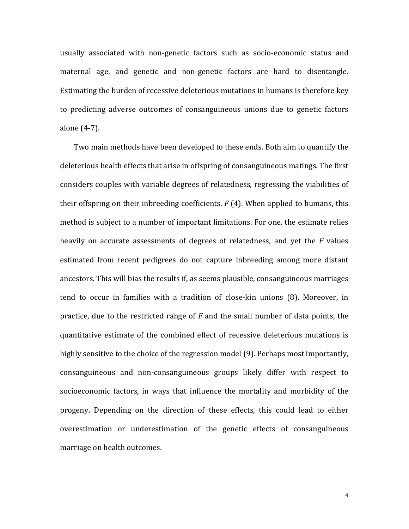usually associated with non-genetic factors such as socio-economic status and maternal age, and genetic and non-genetic factors are hard to disentangle. Estimating the burden of recessive deleterious mutations in humans is therefore key to predicting adverse outcomes of consanguineous unions due to genetic factors alone (4-7).

Two main methods have been developed to these ends. Both aim to quantify the deleterious health effects that arise in offspring of consanguineous matings. The first considers couples with variable degrees of relatedness, regressing the viabilities of their offspring on their inbreeding coefficients,  $F(4)$ . When applied to humans, this method is subject to a number of important limitations. For one, the estimate relies heavily on accurate assessments of degrees of relatedness, and yet the *F* values estimated from recent pedigrees do not capture inbreeding among more distant ancestors. This will bias the results if, as seems plausible, consanguineous marriages tend to occur in families with a tradition of close-kin unions (8). Moreover, in practice, due to the restricted range of  $F$  and the small number of data points, the quantitative estimate of the combined effect of recessive deleterious mutations is highly sensitive to the choice of the regression model (9). Perhaps most importantly, consanguineous and non-consanguineous groups likely differ with respect to socioeconomic factors, in ways that influence the mortality and morbidity of the progeny. Depending on the direction of these effects, this could lead to either overestimation or underestimation of the genetic effects of consanguineous marriage on health outcomes.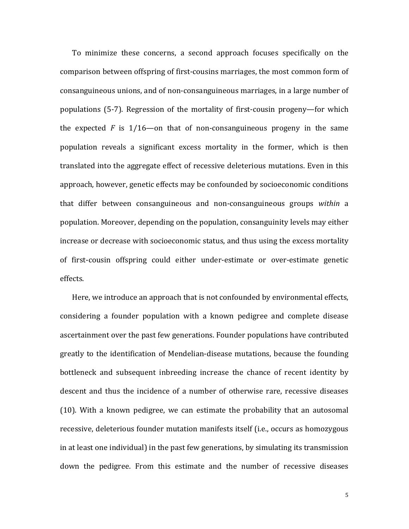To minimize these concerns, a second approach focuses specifically on the comparison between offspring of first-cousins marriages, the most common form of consanguineous unions, and of non-consanguineous marriages, in a large number of populations  $(5-7)$ . Regression of the mortality of first-cousin progeny—for which the expected  $F$  is  $1/16$ —on that of non-consanguineous progeny in the same population reveals a significant excess mortality in the former, which is then translated into the aggregate effect of recessive deleterious mutations. Even in this approach, however, genetic effects may be confounded by socioeconomic conditions that differ between consanguineous and non-consanguineous groups within a population. Moreover, depending on the population, consanguinity levels may either increase or decrease with socioeconomic status, and thus using the excess mortality of first-cousin offspring could either under-estimate or over-estimate genetic effects.

Here, we introduce an approach that is not confounded by environmental effects, considering a founder population with a known pedigree and complete disease ascertainment over the past few generations. Founder populations have contributed greatly to the identification of Mendelian-disease mutations, because the founding bottleneck and subsequent inbreeding increase the chance of recent identity by descent and thus the incidence of a number of otherwise rare, recessive diseases (10). With a known pedigree, we can estimate the probability that an autosomal recessive, deleterious founder mutation manifests itself (i.e., occurs as homozygous in at least one individual) in the past few generations, by simulating its transmission down the pedigree. From this estimate and the number of recessive diseases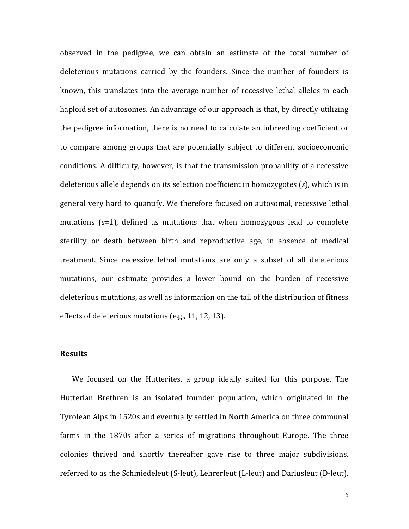observed in the pedigree, we can obtain an estimate of the total number of deleterious mutations carried by the founders. Since the number of founders is known, this translates into the average number of recessive lethal alleles in each haploid set of autosomes. An advantage of our approach is that, by directly utilizing the pedigree information, there is no need to calculate an inbreeding coefficient or to compare among groups that are potentially subject to different socioeconomic conditions. A difficulty, however, is that the transmission probability of a recessive deleterious allele depends on its selection coefficient in homozygotes (s), which is in general very hard to quantify. We therefore focused on autosomal, recessive lethal mutations  $(s=1)$ , defined as mutations that when homozygous lead to complete sterility or death between birth and reproductive age, in absence of medical treatment. Since recessive lethal mutations are only a subset of all deleterious mutations, our estimate provides a lower bound on the burden of recessive deleterious mutations, as well as information on the tail of the distribution of fitness effects of deleterious mutations  $(e.g., 11, 12, 13)$ .

# **Results**

We focused on the Hutterites, a group ideally suited for this purpose. The Hutterian Brethren is an isolated founder population, which originated in the Tyrolean Alps in 1520s and eventually settled in North America on three communal farms in the 1870s after a series of migrations throughout Europe. The three colonies thrived and shortly thereafter gave rise to three major subdivisions, referred to as the Schmiedeleut (S-leut), Lehrerleut (L-leut) and Dariusleut (D-leut),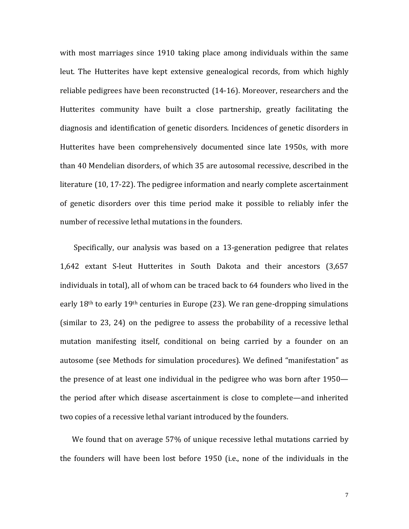with most marriages since  $1910$  taking place among individuals within the same leut. The Hutterites have kept extensive genealogical records, from which highly reliable pedigrees have been reconstructed (14-16). Moreover, researchers and the Hutterites community have built a close partnership, greatly facilitating the diagnosis and identification of genetic disorders. Incidences of genetic disorders in Hutterites have been comprehensively documented since late 1950s, with more than 40 Mendelian disorders, of which 35 are autosomal recessive, described in the literature (10, 17-22). The pedigree information and nearly complete ascertainment of genetic disorders over this time period make it possible to reliably infer the number of recessive lethal mutations in the founders.

Specifically, our analysis was based on a 13-generation pedigree that relates 1,642 extant S-leut Hutterites in South Dakota and their ancestors (3,657 individuals in total), all of whom can be traced back to 64 founders who lived in the early  $18<sup>th</sup>$  to early  $19<sup>th</sup>$  centuries in Europe (23). We ran gene-dropping simulations (similar to  $23$ ,  $24$ ) on the pedigree to assess the probability of a recessive lethal mutation manifesting itself, conditional on being carried by a founder on an autosome (see Methods for simulation procedures). We defined "manifestation" as the presence of at least one individual in the pedigree who was born after  $1950$ the period after which disease ascertainment is close to complete—and inherited two copies of a recessive lethal variant introduced by the founders.

We found that on average 57% of unique recessive lethal mutations carried by the founders will have been lost before 1950 (i.e., none of the individuals in the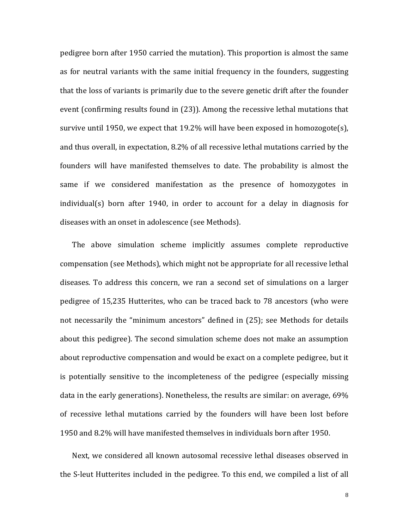pedigree born after 1950 carried the mutation). This proportion is almost the same as for neutral variants with the same initial frequency in the founders, suggesting that the loss of variants is primarily due to the severe genetic drift after the founder event (confirming results found in  $(23)$ ). Among the recessive lethal mutations that survive until 1950, we expect that 19.2% will have been exposed in homozogote(s), and thus overall, in expectation, 8.2% of all recessive lethal mutations carried by the founders will have manifested themselves to date. The probability is almost the same if we considered manifestation as the presence of homozygotes in  $indivial(s)$  born after 1940, in order to account for a delay in diagnosis for diseases with an onset in adolescence (see Methods).

The above simulation scheme implicitly assumes complete reproductive compensation (see Methods), which might not be appropriate for all recessive lethal diseases. To address this concern, we ran a second set of simulations on a larger pedigree of 15,235 Hutterites, who can be traced back to 78 ancestors (who were not necessarily the "minimum ancestors" defined in (25); see Methods for details about this pedigree). The second simulation scheme does not make an assumption about reproductive compensation and would be exact on a complete pedigree, but it is potentially sensitive to the incompleteness of the pedigree (especially missing data in the early generations). Nonetheless, the results are similar: on average, 69% of recessive lethal mutations carried by the founders will have been lost before 1950 and 8.2% will have manifested themselves in individuals born after 1950.

Next, we considered all known autosomal recessive lethal diseases observed in the S-leut Hutterites included in the pedigree. To this end, we compiled a list of all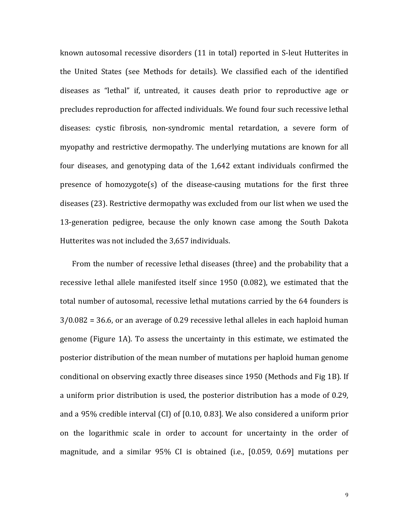known autosomal recessive disorders (11 in total) reported in S-leut Hutterites in the United States (see Methods for details). We classified each of the identified diseases as "lethal" if, untreated, it causes death prior to reproductive age or precludes reproduction for affected individuals. We found four such recessive lethal diseases: cystic fibrosis, non-syndromic mental retardation, a severe form of myopathy and restrictive dermopathy. The underlying mutations are known for all four diseases, and genotyping data of the 1,642 extant individuals confirmed the presence of homozygote(s) of the disease-causing mutations for the first three diseases (23). Restrictive dermopathy was excluded from our list when we used the 13-generation pedigree, because the only known case among the South Dakota Hutterites was not included the 3,657 individuals.

From the number of recessive lethal diseases (three) and the probability that a recessive lethal allele manifested itself since 1950 (0.082), we estimated that the total number of autosomal, recessive lethal mutations carried by the 64 founders is  $3/0.082 = 36.6$ , or an average of 0.29 recessive lethal alleles in each haploid human genome (Figure 1A). To assess the uncertainty in this estimate, we estimated the posterior distribution of the mean number of mutations per haploid human genome conditional on observing exactly three diseases since 1950 (Methods and Fig 1B). If a uniform prior distribution is used, the posterior distribution has a mode of 0.29, and a 95% credible interval  $\left(CI\right)$  of  $\left[0.10, 0.83\right]$ . We also considered a uniform prior on the logarithmic scale in order to account for uncertainty in the order of magnitude, and a similar 95% CI is obtained (i.e., [0.059, 0.69] mutations per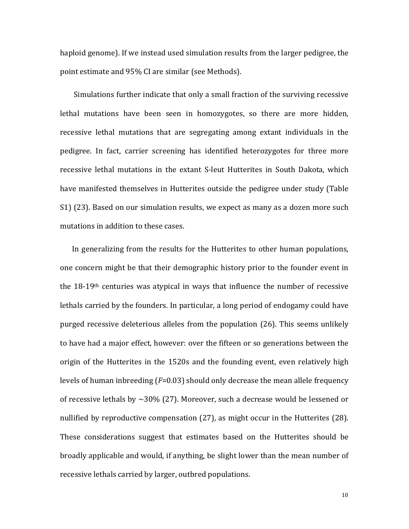haploid genome). If we instead used simulation results from the larger pedigree, the point estimate and 95% CI are similar (see Methods).

Simulations further indicate that only a small fraction of the surviving recessive lethal mutations have been seen in homozygotes, so there are more hidden, recessive lethal mutations that are segregating among extant individuals in the pedigree. In fact, carrier screening has identified heterozygotes for three more recessive lethal mutations in the extant S-leut Hutterites in South Dakota, which have manifested themselves in Hutterites outside the pedigree under study (Table S1) (23). Based on our simulation results, we expect as many as a dozen more such mutations in addition to these cases.

In generalizing from the results for the Hutterites to other human populations, one concern might be that their demographic history prior to the founder event in the  $18-19$ <sup>th</sup> centuries was atypical in ways that influence the number of recessive lethals carried by the founders. In particular, a long period of endogamy could have purged recessive deleterious alleles from the population (26). This seems unlikely to have had a major effect, however: over the fifteen or so generations between the origin of the Hutterites in the 1520s and the founding event, even relatively high levels of human inbreeding  $(F=0.03)$  should only decrease the mean allele frequency of recessive lethals by  $\sim$ 30% (27). Moreover, such a decrease would be lessened or nullified by reproductive compensation  $(27)$ , as might occur in the Hutterites  $(28)$ . These considerations suggest that estimates based on the Hutterites should be broadly applicable and would, if anything, be slight lower than the mean number of recessive lethals carried by larger, outbred populations.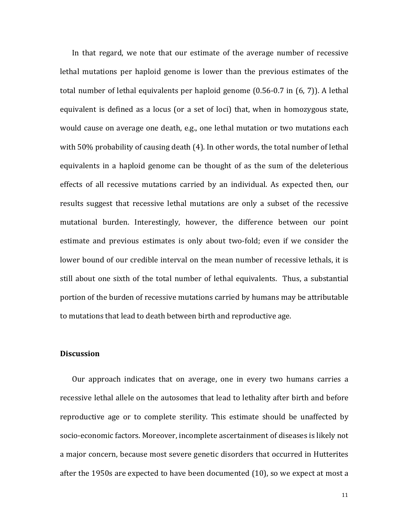In that regard, we note that our estimate of the average number of recessive lethal mutations per haploid genome is lower than the previous estimates of the total number of lethal equivalents per haploid genome  $(0.56-0.7 \text{ in } (6, 7))$ . A lethal equivalent is defined as a locus (or a set of loci) that, when in homozygous state, would cause on average one death, e.g., one lethal mutation or two mutations each with  $50\%$  probability of causing death  $(4)$ . In other words, the total number of lethal equivalents in a haploid genome can be thought of as the sum of the deleterious effects of all recessive mutations carried by an individual. As expected then, our results suggest that recessive lethal mutations are only a subset of the recessive mutational burden. Interestingly, however, the difference between our point estimate and previous estimates is only about two-fold; even if we consider the lower bound of our credible interval on the mean number of recessive lethals, it is still about one sixth of the total number of lethal equivalents. Thus, a substantial portion of the burden of recessive mutations carried by humans may be attributable to mutations that lead to death between birth and reproductive age.

# **Discussion**

Our approach indicates that on average, one in every two humans carries a recessive lethal allele on the autosomes that lead to lethality after birth and before reproductive age or to complete sterility. This estimate should be unaffected by socio-economic factors. Moreover, incomplete ascertainment of diseases is likely not a major concern, because most severe genetic disorders that occurred in Hutterites after the 1950s are expected to have been documented  $(10)$ , so we expect at most a

11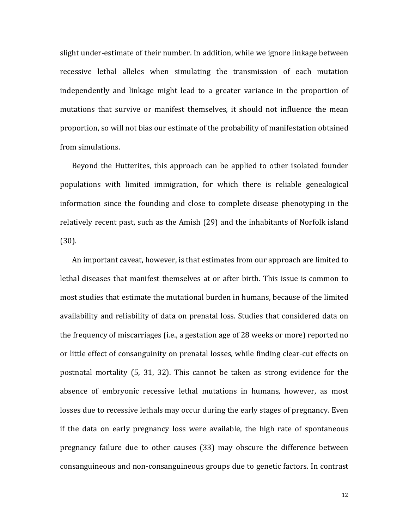slight under-estimate of their number. In addition, while we ignore linkage between recessive lethal alleles when simulating the transmission of each mutation independently and linkage might lead to a greater variance in the proportion of mutations that survive or manifest themselves, it should not influence the mean proportion, so will not bias our estimate of the probability of manifestation obtained from simulations.

Beyond the Hutterites, this approach can be applied to other isolated founder populations with limited immigration, for which there is reliable genealogical information since the founding and close to complete disease phenotyping in the relatively recent past, such as the Amish (29) and the inhabitants of Norfolk island (30).

An important caveat, however, is that estimates from our approach are limited to lethal diseases that manifest themselves at or after birth. This issue is common to most studies that estimate the mutational burden in humans, because of the limited availability and reliability of data on prenatal loss. Studies that considered data on the frequency of miscarriages (i.e., a gestation age of 28 weeks or more) reported no or little effect of consanguinity on prenatal losses, while finding clear-cut effects on postnatal mortality  $(5, 31, 32)$ . This cannot be taken as strong evidence for the absence of embryonic recessive lethal mutations in humans, however, as most losses due to recessive lethals may occur during the early stages of pregnancy. Even if the data on early pregnancy loss were available, the high rate of spontaneous pregnancy failure due to other causes (33) may obscure the difference between consanguineous and non-consanguineous groups due to genetic factors. In contrast

12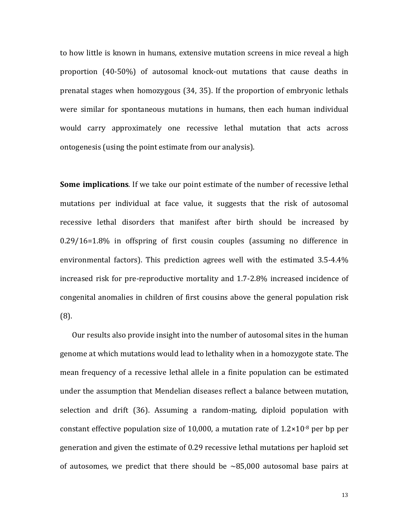to how little is known in humans, extensive mutation screens in mice reveal a high proportion  $(40-50\%)$  of autosomal knock-out mutations that cause deaths in prenatal stages when homozygous (34, 35). If the proportion of embryonic lethals were similar for spontaneous mutations in humans, then each human individual would carry approximately one recessive lethal mutation that acts across ontogenesis (using the point estimate from our analysis).

**Some implications**. If we take our point estimate of the number of recessive lethal mutations per individual at face value, it suggests that the risk of autosomal recessive lethal disorders that manifest after birth should be increased by  $0.29/16=1.8\%$  in offspring of first cousin couples (assuming no difference in environmental factors). This prediction agrees well with the estimated  $3.5\n-4.4\%$ increased risk for pre-reproductive mortality and 1.7-2.8% increased incidence of congenital anomalies in children of first cousins above the general population risk (8).

Our results also provide insight into the number of autosomal sites in the human genome at which mutations would lead to lethality when in a homozygote state. The mean frequency of a recessive lethal allele in a finite population can be estimated under the assumption that Mendelian diseases reflect a balance between mutation, selection and drift  $(36)$ . Assuming a random-mating, diploid population with constant effective population size of 10,000, a mutation rate of  $1.2\times10^{-8}$  per bp per generation and given the estimate of 0.29 recessive lethal mutations per haploid set of autosomes, we predict that there should be  $\sim 85,000$  autosomal base pairs at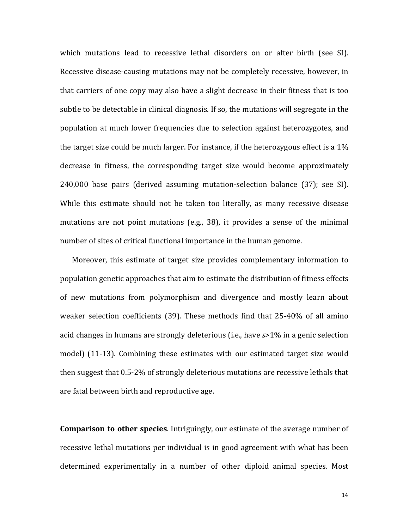which mutations lead to recessive lethal disorders on or after birth (see SI). Recessive disease-causing mutations may not be completely recessive, however, in that carriers of one copy may also have a slight decrease in their fitness that is too subtle to be detectable in clinical diagnosis. If so, the mutations will segregate in the population at much lower frequencies due to selection against heterozygotes, and the target size could be much larger. For instance, if the heterozygous effect is a  $1\%$ decrease in fitness, the corresponding target size would become approximately  $240,000$  base pairs (derived assuming mutation-selection balance  $(37)$ ; see SI). While this estimate should not be taken too literally, as many recessive disease mutations are not point mutations (e.g., 38), it provides a sense of the minimal number of sites of critical functional importance in the human genome.

Moreover, this estimate of target size provides complementary information to population genetic approaches that aim to estimate the distribution of fitness effects of new mutations from polymorphism and divergence and mostly learn about weaker selection coefficients (39). These methods find that 25-40% of all amino acid changes in humans are strongly deleterious (i.e., have  $s > 1\%$  in a genic selection model) (11-13). Combining these estimates with our estimated target size would then suggest that 0.5-2% of strongly deleterious mutations are recessive lethals that are fatal between birth and reproductive age.

**Comparison to other species.** Intriguingly, our estimate of the average number of recessive lethal mutations per individual is in good agreement with what has been determined experimentally in a number of other diploid animal species. Most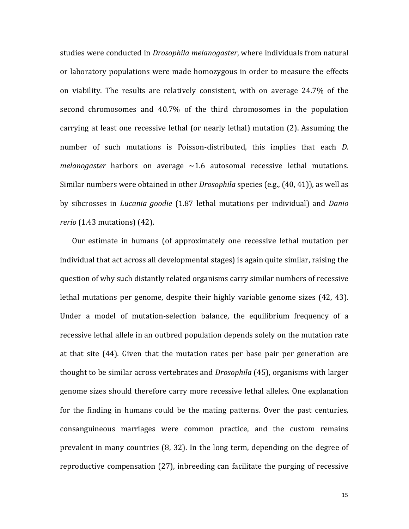studies were conducted in *Drosophila melanogaster*, where individuals from natural or laboratory populations were made homozygous in order to measure the effects on viability. The results are relatively consistent, with on average 24.7% of the second chromosomes and 40.7% of the third chromosomes in the population carrying at least one recessive lethal (or nearly lethal) mutation (2). Assuming the number of such mutations is Poisson-distributed, this implies that each *D*. *melanogaster* harbors on average  $\sim$ 1.6 autosomal recessive lethal mutations. Similar numbers were obtained in other *Drosophila* species (e.g., (40, 41)), as well as by sibcrosses in *Lucania goodie* (1.87 lethal mutations per individual) and *Danio rerio* (1.43 mutations) (42).

Our estimate in humans (of approximately one recessive lethal mutation per individual that act across all developmental stages) is again quite similar, raising the question of why such distantly related organisms carry similar numbers of recessive lethal mutations per genome, despite their highly variable genome sizes  $(42, 43)$ . Under a model of mutation-selection balance, the equilibrium frequency of a recessive lethal allele in an outbred population depends solely on the mutation rate at that site (44). Given that the mutation rates per base pair per generation are thought to be similar across vertebrates and *Drosophila* (45), organisms with larger genome sizes should therefore carry more recessive lethal alleles. One explanation for the finding in humans could be the mating patterns. Over the past centuries, consanguineous marriages were common practice, and the custom remains prevalent in many countries  $(8, 32)$ . In the long term, depending on the degree of reproductive compensation  $(27)$ , inbreeding can facilitate the purging of recessive

15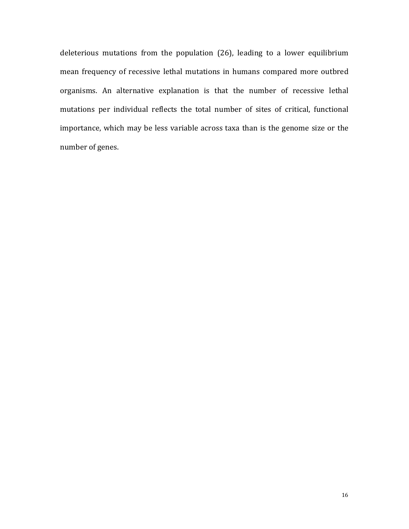deleterious mutations from the population  $(26)$ , leading to a lower equilibrium mean frequency of recessive lethal mutations in humans compared more outbred organisms. An alternative explanation is that the number of recessive lethal mutations per individual reflects the total number of sites of critical, functional importance, which may be less variable across taxa than is the genome size or the number of genes.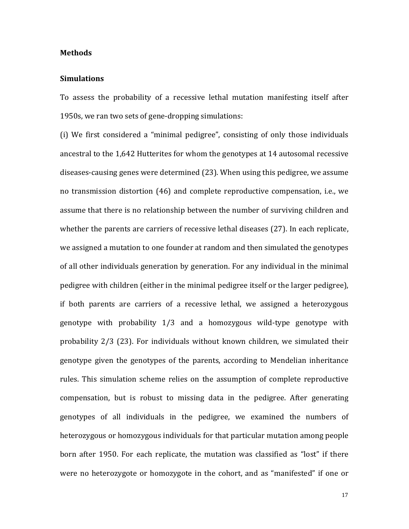#### **Methods**

## **Simulations**

To assess the probability of a recessive lethal mutation manifesting itself after 1950s, we ran two sets of gene-dropping simulations:

(i) We first considered a "minimal pedigree", consisting of only those individuals ancestral to the 1,642 Hutterites for whom the genotypes at 14 autosomal recessive diseases-causing genes were determined (23). When using this pedigree, we assume no transmission distortion (46) and complete reproductive compensation, i.e., we assume that there is no relationship between the number of surviving children and whether the parents are carriers of recessive lethal diseases  $(27)$ . In each replicate, we assigned a mutation to one founder at random and then simulated the genotypes of all other individuals generation by generation. For any individual in the minimal pedigree with children (either in the minimal pedigree itself or the larger pedigree), if both parents are carriers of a recessive lethal, we assigned a heterozygous genotype with probability  $1/3$  and a homozygous wild-type genotype with probability  $2/3$  (23). For individuals without known children, we simulated their genotype given the genotypes of the parents, according to Mendelian inheritance rules. This simulation scheme relies on the assumption of complete reproductive compensation, but is robust to missing data in the pedigree. After generating genotypes of all individuals in the pedigree, we examined the numbers of heterozygous or homozygous individuals for that particular mutation among people born after 1950. For each replicate, the mutation was classified as "lost" if there were no heterozygote or homozygote in the cohort, and as "manifested" if one or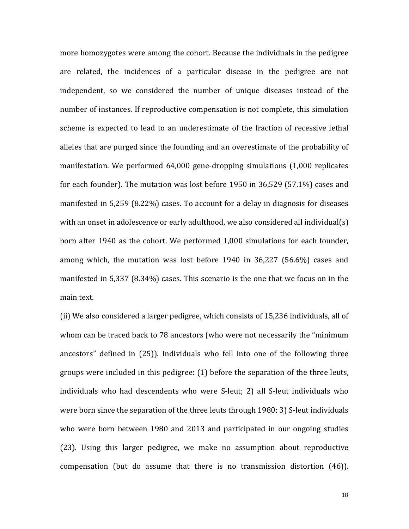more homozygotes were among the cohort. Because the individuals in the pedigree are related, the incidences of a particular disease in the pedigree are not independent, so we considered the number of unique diseases instead of the number of instances. If reproductive compensation is not complete, this simulation scheme is expected to lead to an underestimate of the fraction of recessive lethal alleles that are purged since the founding and an overestimate of the probability of manifestation. We performed 64,000 gene-dropping simulations (1,000 replicates for each founder). The mutation was lost before  $1950$  in  $36,529$  (57.1%) cases and manifested in  $5,259$  (8.22%) cases. To account for a delay in diagnosis for diseases with an onset in adolescence or early adulthood, we also considered all individual(s) born after 1940 as the cohort. We performed 1,000 simulations for each founder, among which, the mutation was lost before  $1940$  in  $36,227$  (56.6%) cases and manifested in  $5,337$  (8.34%) cases. This scenario is the one that we focus on in the main text.

(ii) We also considered a larger pedigree, which consists of 15,236 individuals, all of whom can be traced back to 78 ancestors (who were not necessarily the "minimum" ancestors" defined in  $(25)$ ). Individuals who fell into one of the following three groups were included in this pedigree:  $(1)$  before the separation of the three leuts, individuals who had descendents who were S-leut; 2) all S-leut individuals who were born since the separation of the three leuts through 1980; 3) S-leut individuals who were born between 1980 and 2013 and participated in our ongoing studies (23). Using this larger pedigree, we make no assumption about reproductive compensation (but do assume that there is no transmission distortion  $(46)$ ).

18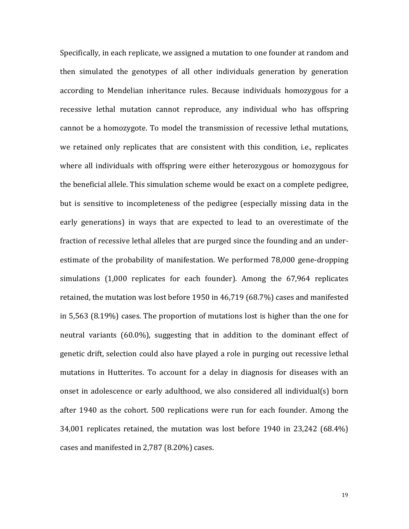Specifically, in each replicate, we assigned a mutation to one founder at random and then simulated the genotypes of all other individuals generation by generation according to Mendelian inheritance rules. Because individuals homozygous for a recessive lethal mutation cannot reproduce, any individual who has offspring cannot be a homozygote. To model the transmission of recessive lethal mutations, we retained only replicates that are consistent with this condition, *i.e.*, replicates where all individuals with offspring were either heterozygous or homozygous for the beneficial allele. This simulation scheme would be exact on a complete pedigree, but is sensitive to incompleteness of the pedigree (especially missing data in the early generations) in ways that are expected to lead to an overestimate of the fraction of recessive lethal alleles that are purged since the founding and an underestimate of the probability of manifestation. We performed 78,000 gene-dropping simulations  $(1,000$  replicates for each founder). Among the  $67,964$  replicates retained, the mutation was lost before  $1950$  in  $46,719$  (68.7%) cases and manifested in  $5,563$  (8.19%) cases. The proportion of mutations lost is higher than the one for neutral variants  $(60.0\%)$ , suggesting that in addition to the dominant effect of genetic drift, selection could also have played a role in purging out recessive lethal mutations in Hutterites. To account for a delay in diagnosis for diseases with an onset in adolescence or early adulthood, we also considered all individual(s) born after 1940 as the cohort. 500 replications were run for each founder. Among the 34,001 replicates retained, the mutation was lost before  $1940$  in  $23,242$  (68.4%) cases and manifested in  $2,787$  (8.20%) cases.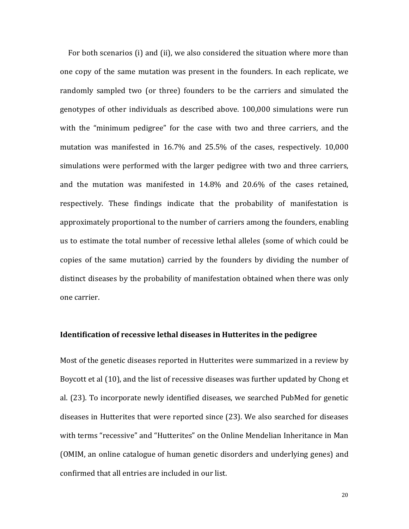For both scenarios (i) and (ii), we also considered the situation where more than one copy of the same mutation was present in the founders. In each replicate, we randomly sampled two (or three) founders to be the carriers and simulated the genotypes of other individuals as described above. 100,000 simulations were run with the "minimum pedigree" for the case with two and three carriers, and the mutation was manifested in  $16.7\%$  and  $25.5\%$  of the cases, respectively.  $10,000$ simulations were performed with the larger pedigree with two and three carriers, and the mutation was manifested in  $14.8\%$  and  $20.6\%$  of the cases retained, respectively. These findings indicate that the probability of manifestation is approximately proportional to the number of carriers among the founders, enabling us to estimate the total number of recessive lethal alleles (some of which could be copies of the same mutation) carried by the founders by dividing the number of distinct diseases by the probability of manifestation obtained when there was only one carrier.

### **Identification of recessive lethal diseases in Hutterites in the pedigree**

Most of the genetic diseases reported in Hutterites were summarized in a review by Boycott et al (10), and the list of recessive diseases was further updated by Chong et al. (23). To incorporate newly identified diseases, we searched PubMed for genetic diseases in Hutterites that were reported since (23). We also searched for diseases with terms "recessive" and "Hutterites" on the Online Mendelian Inheritance in Man (OMIM, an online catalogue of human genetic disorders and underlying genes) and confirmed that all entries are included in our list.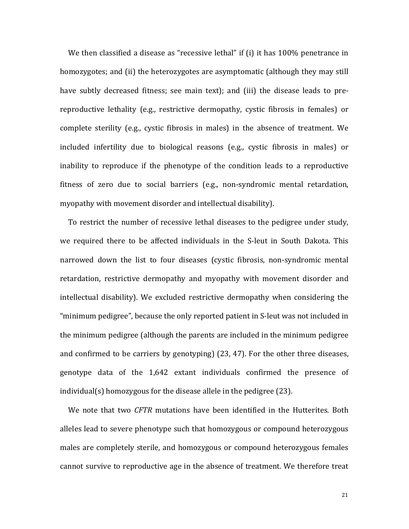We then classified a disease as "recessive lethal" if  $(i)$  it has 100% penetrance in homozygotes; and (ii) the heterozygotes are asymptomatic (although they may still have subtly decreased fitness; see main text); and (iii) the disease leads to prereproductive lethality (e.g., restrictive dermopathy, cystic fibrosis in females) or complete sterility (e.g., cystic fibrosis in males) in the absence of treatment. We included infertility due to biological reasons (e.g., cystic fibrosis in males) or inability to reproduce if the phenotype of the condition leads to a reproductive fitness of zero due to social barriers (e.g., non-syndromic mental retardation, myopathy with movement disorder and intellectual disability).

To restrict the number of recessive lethal diseases to the pedigree under study, we required there to be affected individuals in the S-leut in South Dakota. This narrowed down the list to four diseases (cystic fibrosis, non-syndromic mental retardation, restrictive dermopathy and myopathy with movement disorder and intellectual disability). We excluded restrictive dermopathy when considering the "minimum pedigree", because the only reported patient in S-leut was not included in the minimum pedigree (although the parents are included in the minimum pedigree and confirmed to be carriers by genotyping)  $(23, 47)$ . For the other three diseases, genotype data of the 1,642 extant individuals confirmed the presence of  $individual(s)$  homozygous for the disease allele in the pedigree (23).

We note that two *CFTR* mutations have been identified in the Hutterites. Both alleles lead to severe phenotype such that homozygous or compound heterozygous males are completely sterile, and homozygous or compound heterozygous females cannot survive to reproductive age in the absence of treatment. We therefore treat

21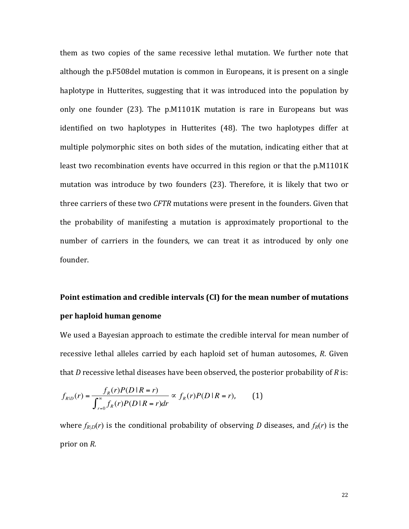them as two copies of the same recessive lethal mutation. We further note that although the p.F508del mutation is common in Europeans, it is present on a single haplotype in Hutterites, suggesting that it was introduced into the population by only one founder  $(23)$ . The  $p.M1101K$  mutation is rare in Europeans but was identified on two haplotypes in Hutterites (48). The two haplotypes differ at multiple polymorphic sites on both sides of the mutation, indicating either that at least two recombination events have occurred in this region or that the  $p.M1101K$ mutation was introduce by two founders (23). Therefore, it is likely that two or three carriers of these two *CFTR* mutations were present in the founders. Given that the probability of manifesting a mutation is approximately proportional to the number of carriers in the founders, we can treat it as introduced by only one founder.

# **Point estimation and credible intervals (CI) for the mean number of mutations per haploid human genome**

We used a Bayesian approach to estimate the credible interval for mean number of recessive lethal alleles carried by each haploid set of human autosomes, *R*. Given that *D* recessive lethal diseases have been observed, the posterior probability of *R* is:

$$
f_{R|D}(r) = \frac{f_R(r)P(D|R=r)}{\int_{r=0}^{\infty} f_R(r)P(D|R=r)dr} \propto f_R(r)P(D|R=r),
$$
 (1)

where  $f_{R|D}(r)$  is the conditional probability of observing *D* diseases, and  $f_R(r)$  is the prior on *R*.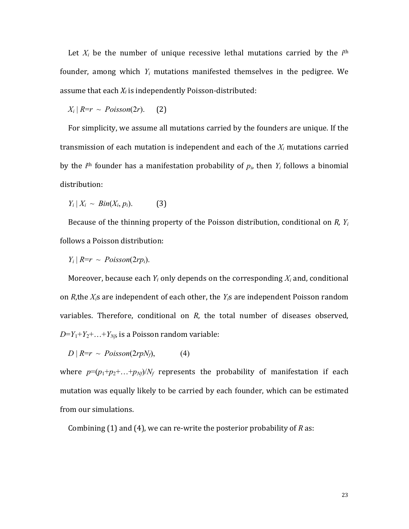Let  $X_i$  be the number of unique recessive lethal mutations carried by the  $i<sup>th</sup>$ founder, among which  $Y_i$  mutations manifested themselves in the pedigree. We assume that each  $X_i$  is independently Poisson-distributed:

 $X_i | R=r \sim Poisson(2r)$ . (2)

For simplicity, we assume all mutations carried by the founders are unique. If the transmission of each mutation is independent and each of the  $X_i$  mutations carried by the *i*<sup>th</sup> founder has a manifestation probability of  $p_i$ , then  $Y_i$  follows a binomial distribution:

 $Y_i | X_i \sim Bin(X_i, p_i).$  (3)

Because of the thinning property of the Poisson distribution, conditional on  $R$ ,  $Y_i$ follows a Poisson distribution:

 $Y_i \mid R=r \sim Poisson(2rp_i).$ 

Moreover, because each  $Y_i$  only depends on the corresponding  $X_i$  and, conditional on *R*,the  $X_i$ s are independent of each other, the  $Y_i$ s are independent Poisson random variables. Therefore, conditional on  $R$ , the total number of diseases observed,  $D=Y_1+Y_2+\ldots+Y_N$  is a Poisson random variable:

 $D \mid R=r \sim Poisson(2rpN_f),$  (4)

where  $p=(p_1+p_2+\ldots+p_M)/N_f$  represents the probability of manifestation if each mutation was equally likely to be carried by each founder, which can be estimated from our simulations.

Combining (1) and (4), we can re-write the posterior probability of *R* as: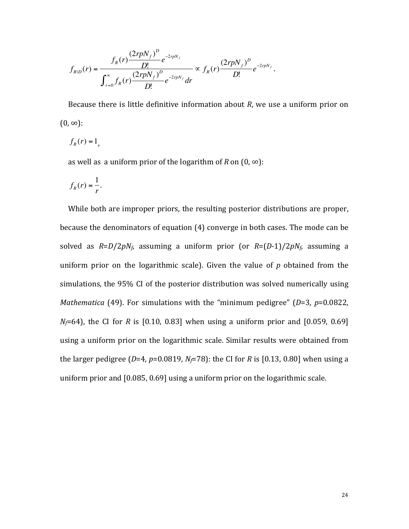$$
f_{RID}(r) = \frac{f_R(r)\frac{(2rpN_f)^D}{D!}e^{-2rpN_f}}{\int_{r=0}^{\infty}f_R(r)\frac{(2rpN_f)^D}{D!}e^{-2rpN_f}dr} \propto f_R(r)\frac{(2rpN_f)^D}{D!}e^{-2rpN_f}.
$$

Because there is little definitive information about  $R$ , we use a uniform prior on  $(0, \infty)$ :

$$
f_R(r) = 1,
$$

as well as a uniform prior of the logarithm of *R* on  $(0, \infty)$ :

$$
f_R(r) = \frac{1}{r}.
$$

While both are improper priors, the resulting posterior distributions are proper, because the denominators of equation  $(4)$  converge in both cases. The mode can be solved as  $R = D/2pN_f$ , assuming a uniform prior (or  $R = (D-1)/2pN_f$ , assuming a uniform prior on the logarithmic scale). Given the value of  $p$  obtained from the simulations, the 95% CI of the posterior distribution was solved numerically using *Mathematica* (49). For simulations with the "minimum pedigree" ( $D=3$ ,  $p=0.0822$ ,  $N_f$ =64), the CI for *R* is [0.10, 0.83] when using a uniform prior and [0.059, 0.69] using a uniform prior on the logarithmic scale. Similar results were obtained from the larger pedigree ( $D=4$ ,  $p=0.0819$ ,  $N_f=78$ ): the CI for *R* is [0.13, 0.80] when using a uniform prior and  $[0.085, 0.69]$  using a uniform prior on the logarithmic scale.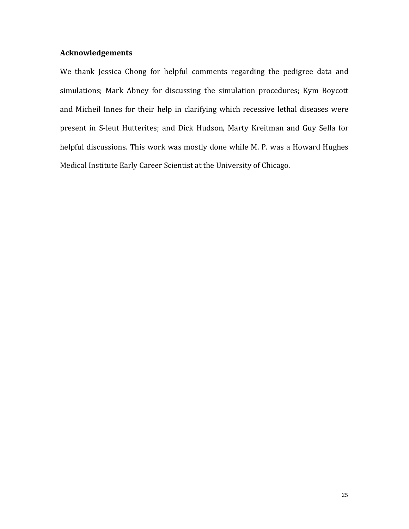# **Acknowledgements**

We thank Jessica Chong for helpful comments regarding the pedigree data and simulations; Mark Abney for discussing the simulation procedures; Kym Boycott and Micheil Innes for their help in clarifying which recessive lethal diseases were present in S-leut Hutterites; and Dick Hudson, Marty Kreitman and Guy Sella for helpful discussions. This work was mostly done while M. P. was a Howard Hughes Medical Institute Early Career Scientist at the University of Chicago.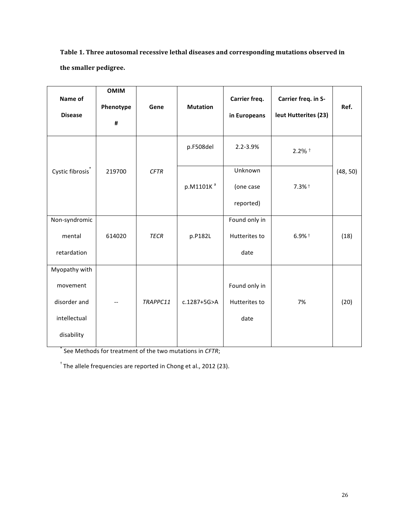Table 1. Three autosomal recessive lethal diseases and corresponding mutations observed in the smaller pedigree.

| Name of<br><b>Disease</b> | <b>OMIM</b><br>Phenotype<br>$\pmb{\sharp}$ | Gene        | <b>Mutation</b>       | Carrier freq.<br>in Europeans | Carrier freq. in S-<br>leut Hutterites (23) | Ref.     |
|---------------------------|--------------------------------------------|-------------|-----------------------|-------------------------------|---------------------------------------------|----------|
|                           |                                            |             | p.F508del             | 2.2-3.9%                      | $2.2\%$ †                                   |          |
| Cystic fibrosis*          | 219700                                     | <b>CFTR</b> |                       | Unknown                       |                                             | (48, 50) |
|                           |                                            |             | p.M1101K <sup>a</sup> | (one case                     | $7.3%$ <sup>+</sup>                         |          |
|                           |                                            |             |                       | reported)                     |                                             |          |
| Non-syndromic             |                                            |             |                       | Found only in                 |                                             |          |
| mental                    | 614020                                     | <b>TECR</b> | p.P182L               | Hutterites to                 | $6.9%$ <sup>+</sup>                         | (18)     |
| retardation               |                                            |             |                       | date                          |                                             |          |
| Myopathy with             |                                            |             |                       |                               |                                             |          |
| movement                  |                                            |             |                       | Found only in                 |                                             |          |
| disorder and              |                                            | TRAPPC11    | c.1287+5G>A           | Hutterites to                 | 7%                                          | (20)     |
| intellectual              |                                            |             |                       | date                          |                                             |          |
| disability                |                                            |             |                       |                               |                                             |          |

\* See Methods for treatment of the two mutations in *CFTR*;

 $^{\dagger}$  The allele frequencies are reported in Chong et al., 2012 (23).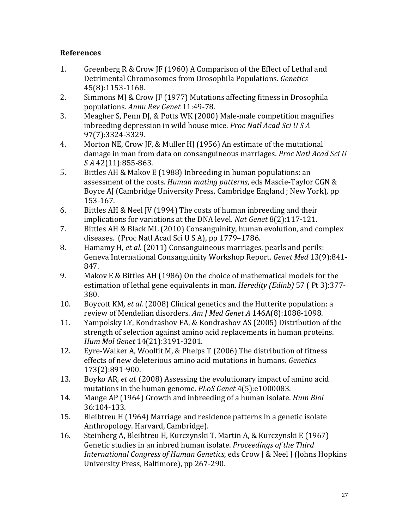# **References**

- 1. Greenberg R & Crow JF (1960) A Comparison of the Effect of Lethal and Detrimental Chromosomes from Drosophila Populations. *Genetics* 45(8):1153-1168.
- 2. Simmons MJ & Crow IF (1977) Mutations affecting fitness in Drosophila populations. *Annu Rev Genet* 11:49-78.
- 3. Meagher S, Penn DJ, & Potts WK (2000) Male-male competition magnifies inbreeding depression in wild house mice. Proc Natl Acad Sci U S A 97(7):3324-3329.
- 4. Morton NE, Crow JF, & Muller HJ (1956) An estimate of the mutational damage in man from data on consanguineous marriages. *Proc Natl Acad Sci U S A* 42(11):855-863.
- 5. Bittles AH & Makov E (1988) Inbreeding in human populations: an assessment of the costs. *Human mating patterns*, eds Mascie-Taylor CGN & Boyce AJ (Cambridge University Press, Cambridge England ; New York), pp. 153-167.
- 6. Bittles AH & Neel JV (1994) The costs of human inbreeding and their implications for variations at the DNA level. *Nat Genet* 8(2):117-121.
- 7. Bittles AH & Black ML (2010) Consanguinity, human evolution, and complex diseases. (Proc Natl Acad Sci U S A), pp  $1779-1786$ .
- 8. Hamamy H, *et al.* (2011) Consanguineous marriages, pearls and perils: Geneva International Consanguinity Workshop Report. *Genet Med* 13(9):841-847.
- 9. Makov E & Bittles AH (1986) On the choice of mathematical models for the estimation of lethal gene equivalents in man. *Heredity* (*Edinb*) 57 (Pt 3):377-380.
- 10. Boycott KM, *et al.* (2008) Clinical genetics and the Hutterite population: a review of Mendelian disorders. Am J Med Genet A 146A(8):1088-1098.
- 11. Yampolsky LY, Kondrashov FA, & Kondrashov AS (2005) Distribution of the strength of selection against amino acid replacements in human proteins. *Hum Mol Genet* 14(21):3191-3201.
- 12. Evre-Walker A, Woolfit M, & Phelps T (2006) The distribution of fitness effects of new deleterious amino acid mutations in humans. *Genetics* 173(2):891-900.
- 13. Boyko AR, *et al.* (2008) Assessing the evolutionary impact of amino acid mutations in the human genome. *PLoS Genet* 4(5):e1000083.
- 14. Mange AP (1964) Growth and inbreeding of a human isolate. *Hum Biol* 36:104-133.
- 15. Bleibtreu H (1964) Marriage and residence patterns in a genetic isolate Anthropology. Harvard, Cambridge).
- 16. Steinberg A, Bleibtreu H, Kurczynski T, Martin A, & Kurczynski E (1967) Genetic studies in an inbred human isolate. *Proceedings of the Third International Congress of Human Genetics*, eds Crow J & Neel J (Johns Hopkins University Press, Baltimore), pp 267-290.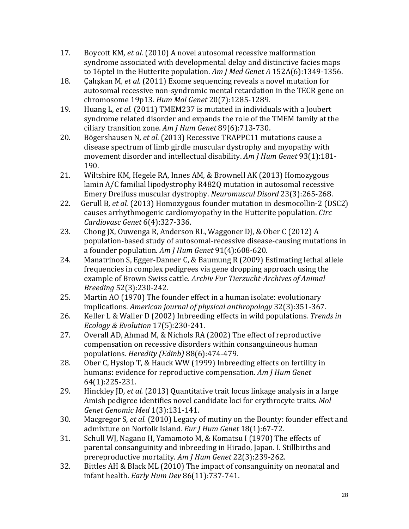- 17. Boycott KM, et al. (2010) A novel autosomal recessive malformation syndrome associated with developmental delay and distinctive facies maps to 16ptel in the Hutterite population. Am *J Med Genet A* 152A(6):1349-1356.
- 18. Caliskan M, *et al.* (2011) Exome sequencing reveals a novel mutation for autosomal recessive non-syndromic mental retardation in the TECR gene on chromosome 19p13. *Hum Mol Genet* 20(7):1285-1289.
- 19. Huang L, et al. (2011) TMEM237 is mutated in individuals with a Joubert syndrome related disorder and expands the role of the TMEM family at the ciliary transition zone. *Am J Hum Genet* 89(6):713-730.
- 20. Bögershausen N, et al. (2013) Recessive TRAPPC11 mutations cause a disease spectrum of limb girdle muscular dystrophy and myopathy with movement disorder and intellectual disability. Am J Hum Genet 93(1):181-190.
- 21. Wiltshire KM, Hegele RA, Innes AM, & Brownell AK (2013) Homozygous lamin A/C familial lipodystrophy R4820 mutation in autosomal recessive Emery Dreifuss muscular dystrophy. *Neuromuscul Disord* 23(3):265-268.
- 22. Gerull B, et al. (2013) Homozygous founder mutation in desmocollin-2 (DSC2) causes arrhythmogenic cardiomyopathy in the Hutterite population. *Circ Cardiovasc Genet* 6(4):327-336.
- 23. Chong JX, Ouwenga R, Anderson RL, Waggoner DJ, & Ober C (2012) A population-based study of autosomal-recessive disease-causing mutations in a founder population. Am J Hum Genet 91(4):608-620.
- 24. Manatrinon S, Egger-Danner C, & Baumung R (2009) Estimating lethal allele frequencies in complex pedigrees via gene dropping approach using the example of Brown Swiss cattle. *Archiv Fur Tierzucht-Archives of Animal Breeding* 52(3):230-242.
- 25. Martin AO (1970) The founder effect in a human isolate: evolutionary implications. *American journal of physical anthropology* 32(3):351-367.
- 26. Keller L & Waller D (2002) Inbreeding effects in wild populations. Trends in *Ecology & Evolution* 17(5):230-241.
- 27. Overall AD, Ahmad M, & Nichols RA (2002) The effect of reproductive compensation on recessive disorders within consanguineous human populations. *Heredity (Edinb)* 88(6):474-479.
- 28. Ober C, Hyslop T, & Hauck WW (1999) Inbreeding effects on fertility in humans: evidence for reproductive compensation. Am J Hum Genet 64(1):225-231.
- 29. Hinckley *JD, et al.* (2013) Quantitative trait locus linkage analysis in a large Amish pedigree identifies novel candidate loci for erythrocyte traits. Mol *Genet Genomic Med* 1(3):131-141.
- 30. Macgregor S, et al. (2010) Legacy of mutiny on the Bounty: founder effect and admixture on Norfolk Island. *Eur J Hum Genet* 18(1):67-72.
- 31. Schull WJ, Nagano H, Yamamoto M, & Komatsu I (1970) The effects of parental consanguinity and inbreeding in Hirado, Japan. I. Stillbirths and prereproductive mortality. Am *J Hum Genet* 22(3):239-262.
- 32. Bittles AH & Black ML (2010) The impact of consanguinity on neonatal and infant health. *Early Hum Dev* 86(11):737-741.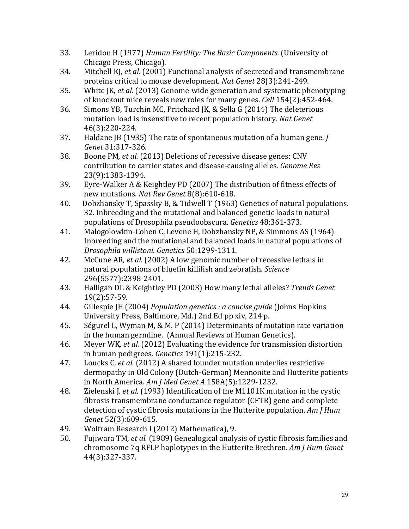- 33. Leridon H (1977) *Human Fertility: The Basic Components.* (University of Chicago Press, Chicago).
- 34. Mitchell KJ, et al. (2001) Functional analysis of secreted and transmembrane proteins critical to mouse development. *Nat Genet* 28(3):241-249.
- 35. White JK, *et al.* (2013) Genome-wide generation and systematic phenotyping of knockout mice reveals new roles for many genes. *Cell* 154(2):452-464.
- 36. Simons YB, Turchin MC, Pritchard JK, & Sella G (2014) The deleterious mutation load is insensitive to recent population history. Nat Genet 46(3):220-224.
- 37. Haldane JB (1935) The rate of spontaneous mutation of a human gene. *J Genet* 31:317-326.
- 38. Boone PM, *et al.* (2013) Deletions of recessive disease genes: CNV contribution to carrier states and disease-causing alleles. *Genome Res* 23(9):1383-1394.
- 39. Evre-Walker A & Keightley PD (2007) The distribution of fitness effects of new mutations. *Nat Rev Genet* 8(8):610-618.
- 40. Dobzhansky T, Spassky B, & Tidwell T (1963) Genetics of natural populations. 32. Inbreeding and the mutational and balanced genetic loads in natural populations of Drosophila pseudoobscura. *Genetics* 48:361-373.
- 41. Malogolowkin-Cohen C, Levene H, Dobzhansky NP, & Simmons AS (1964) Inbreeding and the mutational and balanced loads in natural populations of *Drosophila willistoni*. *Genetics* 50:1299-1311.
- 42. McCune AR, *et al.* (2002) A low genomic number of recessive lethals in natural populations of bluefin killifish and zebrafish. *Science* 296(5577):2398-2401.
- 43. Halligan DL & Keightley PD (2003) How many lethal alleles? *Trends Genet* 19(2):57-59.
- 44. Gillespie JH (2004) *Population genetics : a concise guide* (Johns Hopkins University Press, Baltimore, Md.) 2nd Ed pp xiv, 214 p.
- 45. Ségurel L, Wyman M, & M. P (2014) Determinants of mutation rate variation in the human germline. (Annual Reviews of Human Genetics).
- 46. Meyer WK, *et al.* (2012) Evaluating the evidence for transmission distortion in human pedigrees. *Genetics* 191(1):215-232.
- 47. Loucks C, *et al.* (2012) A shared founder mutation underlies restrictive dermopathy in Old Colony (Dutch-German) Mennonite and Hutterite patients in North America. *Am J Med Genet A* 158A(5):1229-1232.
- 48. Zielenski J, et al. (1993) Identification of the M1101K mutation in the cystic fibrosis transmembrane conductance regulator (CFTR) gene and complete detection of cystic fibrosis mutations in the Hutterite population. Am *J Hum Genet* 52(3):609-615.
- 49. Wolfram Research I (2012) Mathematica), 9.
- 50. Fujiwara TM, *et al.* (1989) Genealogical analysis of cystic fibrosis families and chromosome 7q RFLP haplotypes in the Hutterite Brethren. *Am J Hum Genet* 44(3):327-337.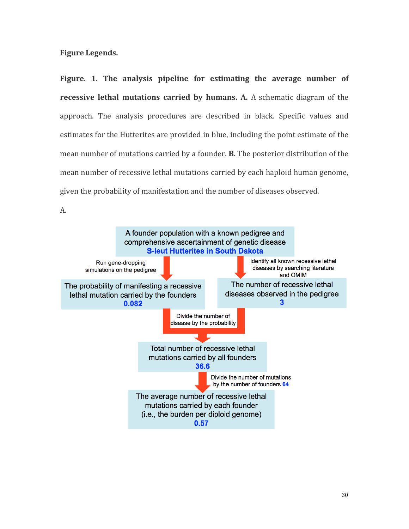**Figure Legends.**

**Figure.** 1. The analysis pipeline for estimating the average number of **recessive lethal mutations carried by humans.** A. A schematic diagram of the approach. The analysis procedures are described in black. Specific values and estimates for the Hutterites are provided in blue, including the point estimate of the mean number of mutations carried by a founder. **B.** The posterior distribution of the mean number of recessive lethal mutations carried by each haploid human genome, given the probability of manifestation and the number of diseases observed.

A.

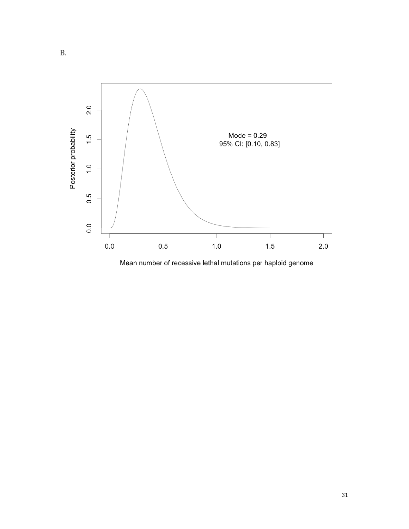

Mean number of recessive lethal mutations per haploid genome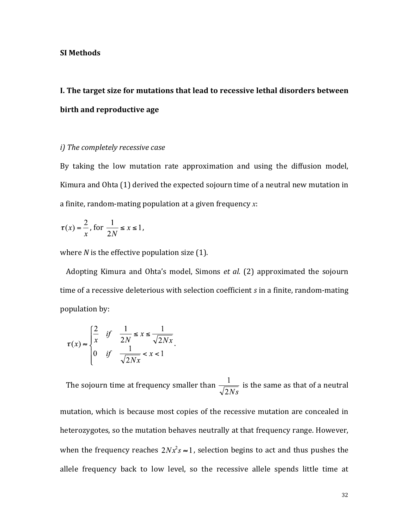## **SI Methods**

# **I. The target size for mutations that lead to recessive lethal disorders between birth and reproductive age**

### *i*) The completely recessive case

By taking the low mutation rate approximation and using the diffusion model, Kimura and Ohta (1) derived the expected sojourn time of a neutral new mutation in a finite, random-mating population at a given frequency  $x$ :

$$
\tau(x) = \frac{2}{x}, \text{ for } \frac{1}{2N} \le x \le 1,
$$

where  $N$  is the effective population size  $(1)$ .

Adopting Kimura and Ohta's model, Simons *et al.* (2) approximated the sojourn time of a recessive deleterious with selection coefficient *s* in a finite, random-mating population by:

$$
\tau(x) \approx \begin{cases} \frac{2}{x} & \text{if } \frac{1}{2N} \le x \le \frac{1}{\sqrt{2Nx}}\\ 0 & \text{if } \frac{1}{\sqrt{2Nx}} < x < 1 \end{cases}
$$

The sojourn time at frequency smaller than  $\frac{1}{\sqrt{2N_s}}$  is the same as that of a neutral

mutation, which is because most copies of the recessive mutation are concealed in heterozygotes, so the mutation behaves neutrally at that frequency range. However, when the frequency reaches  $2Nx^2s \approx 1$ , selection begins to act and thus pushes the allele frequency back to low level, so the recessive allele spends little time at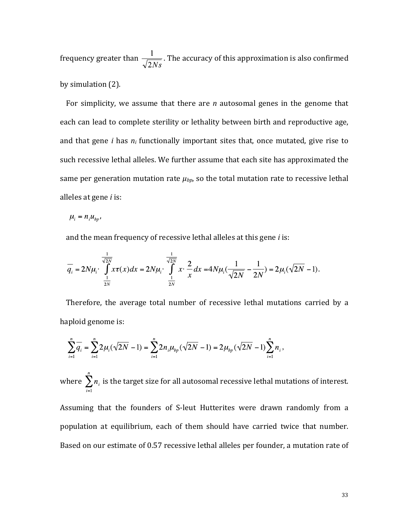frequency greater than  $\frac{1}{\sqrt{2N_s}}$ . The accuracy of this approximation is also confirmed by simulation (2).

For simplicity, we assume that there are *n* autosomal genes in the genome that each can lead to complete sterility or lethality between birth and reproductive age, and that gene *i* has  $n_i$  functionally important sites that, once mutated, give rise to such recessive lethal alleles. We further assume that each site has approximated the same per generation mutation rate  $\mu_{bp}$ , so the total mutation rate to recessive lethal alleles at gene *i* is:

$$
u_i = n_i u_{bp},
$$

and the mean frequency of recessive lethal alleles at this gene *i* is:

$$
\overline{q_i} = 2N\mu_i \cdot \frac{\frac{1}{\sqrt{2N}}}{\frac{1}{2N}} x \tau(x) dx = 2N\mu_i \cdot \frac{\int_{\frac{1}{2N}}^{\frac{1}{\sqrt{2N}}}}{\frac{1}{2N}} x \cdot \frac{2}{x} dx = 4N\mu_i \left(\frac{1}{\sqrt{2N}} - \frac{1}{2N}\right) = 2\mu_i(\sqrt{2N} - 1).
$$

Therefore, the average total number of recessive lethal mutations carried by a haploid genome is:

$$
\sum_{i=1}^{n} \overline{q_i} = \sum_{i=1}^{n} 2\mu_i (\sqrt{2N} - 1) = \sum_{i=1}^{n} 2n_i \mu_{bp} (\sqrt{2N} - 1) = 2\mu_{bp} (\sqrt{2N} - 1) \sum_{i=1}^{n} n_i,
$$

where  $\sum_{i=1}^{n} n_i$  is the target size for all autosomal recessive lethal mutations of interest.

Assuming that the founders of S-leut Hutterites were drawn randomly from a population at equilibrium, each of them should have carried twice that number. Based on our estimate of 0.57 recessive lethal alleles per founder, a mutation rate of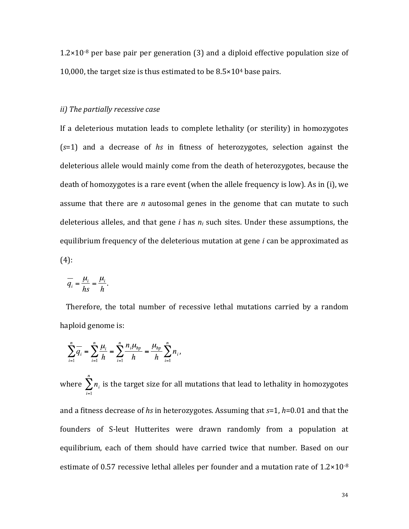$1.2\times10^{-8}$  per base pair per generation (3) and a diploid effective population size of 10,000, the target size is thus estimated to be  $8.5 \times 10^4$  base pairs.

#### *ii*) The partially recessive case

If a deleterious mutation leads to complete lethality (or sterility) in homozygotes (*s*=1) and a decrease of *hs* in fitness of heterozygotes, selection against the deleterious allele would mainly come from the death of heterozygotes, because the death of homozygotes is a rare event (when the allele frequency is low). As in (i), we assume that there are *n* autosomal genes in the genome that can mutate to such deleterious alleles, and that gene *i* has  $n_i$  such sites. Under these assumptions, the equilibrium frequency of the deleterious mutation at gene *i* can be approximated as (4):

$$
\overline{q_i} = \frac{\mu_i}{h s} = \frac{\mu_i}{h}.
$$

Therefore, the total number of recessive lethal mutations carried by a random haploid genome is:

$$
\sum_{i=1}^{n} \overline{q_i} = \sum_{i=1}^{n} \frac{\mu_i}{h} = \sum_{i=1}^{n} \frac{n_i \mu_{bp}}{h} = \frac{\mu_{bp}}{h} \sum_{i=1}^{n} n_i,
$$

where  $\sum n_i$  is the target size for all mutations that lead to lethality in homozygotes

and a fitness decrease of *hs* in heterozygotes. Assuming that  $s=1$ , *h*=0.01 and that the founders of S-leut Hutterites were drawn randomly from a population at equilibrium, each of them should have carried twice that number. Based on our estimate of 0.57 recessive lethal alleles per founder and a mutation rate of  $1.2 \times 10^{-8}$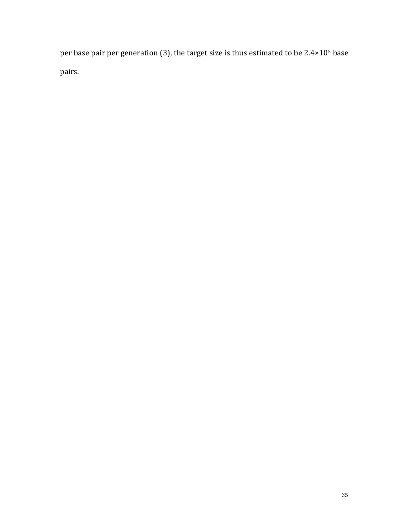per base pair per generation (3), the target size is thus estimated to be  $2.4 \times 10^5$  base pairs.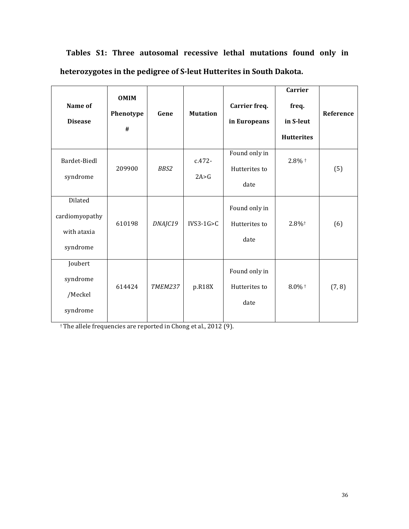|                                                                     |  |  | Tables S1: Three autosomal recessive lethal mutations found only in |  |  |  |  |  |  |
|---------------------------------------------------------------------|--|--|---------------------------------------------------------------------|--|--|--|--|--|--|
| heterozygotes in the pedigree of S-leut Hutterites in South Dakota. |  |  |                                                                     |  |  |  |  |  |  |

| Name of<br><b>Disease</b>                            | <b>OMIM</b><br>Phenotype<br># | Gene    | <b>Mutation</b>    | Carrier freq.<br>in Europeans          | <b>Carrier</b><br>freq.<br>in S-leut<br><b>Hutterites</b> | Reference |
|------------------------------------------------------|-------------------------------|---------|--------------------|----------------------------------------|-----------------------------------------------------------|-----------|
| Bardet-Biedl<br>syndrome                             | 209900                        | BBS2    | $c.472-$<br>2A > G | Found only in<br>Hutterites to<br>date | $2.8\%$ †                                                 | (5)       |
| Dilated<br>cardiomyopathy<br>with ataxia<br>syndrome | 610198                        | DNAJC19 | $IVS3-1G > C$      | Found only in<br>Hutterites to<br>date | $2.8\%$ <sup>+</sup>                                      | (6)       |
| Joubert<br>syndrome<br>/Meckel<br>syndrome           | 614424                        | TMEM237 | p.R18X             | Found only in<br>Hutterites to<br>date | $8.0\%$ †                                                 | (7, 8)    |

 $\overline{\phantom{a}^{\dagger}}$  The allele frequencies are reported in Chong et al., 2012 (9).